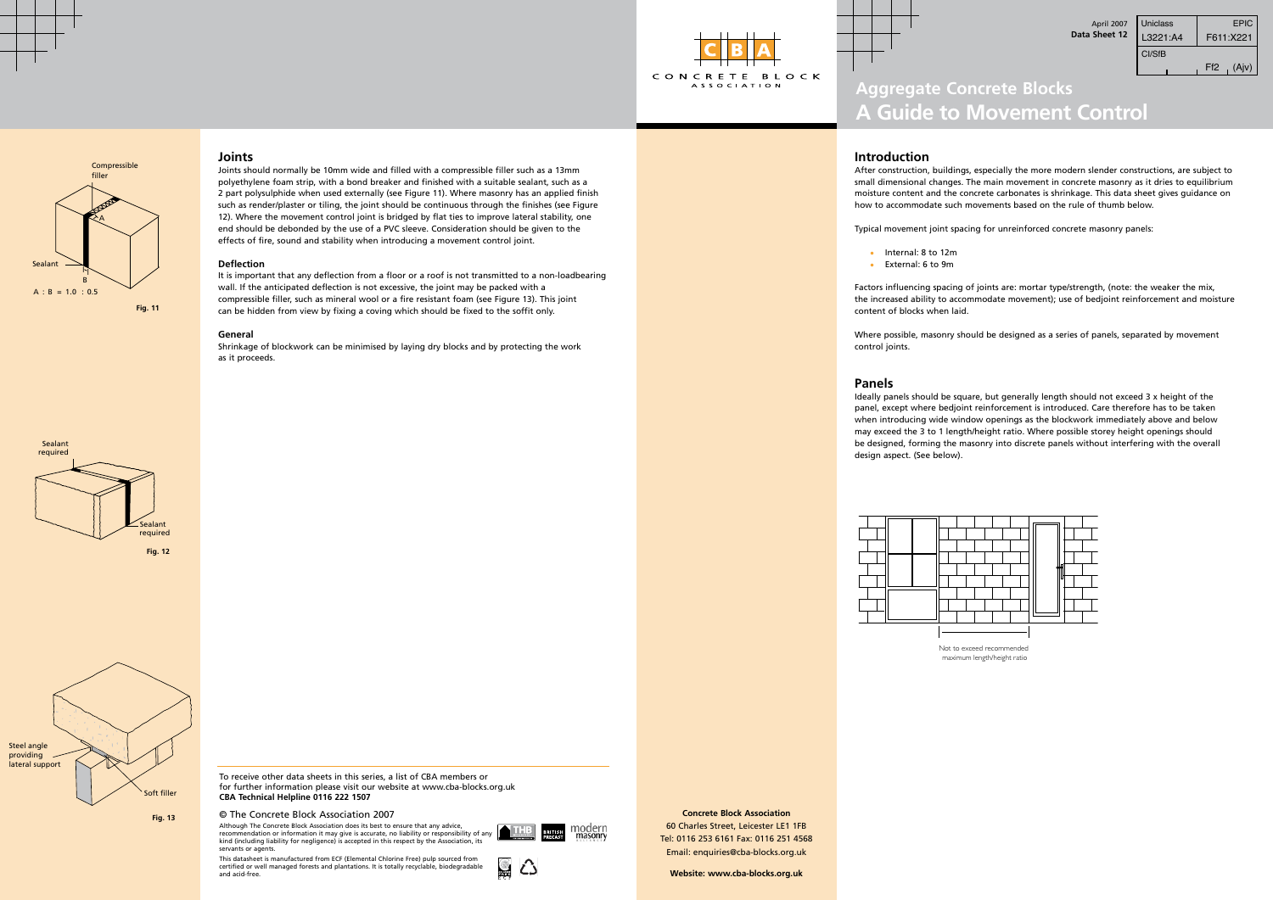**Concrete Block Association** 60 Charles Street, Leicester LE1 1FB Tel: 0116 253 6161 Fax: 0116 251 4568 Email: enquiries@cba-blocks.org.uk

Compressible filler

 $A : B = 1.0 : 0.5$ **Fig. 11**

**Website: www.cba-blocks.org.uk**

 $\bigtriangleup$ 

Sealant

B

A



**Fig. 13**



| Uniclass<br>I 3221:A4 | <b>EPIC</b><br>F611:X221 |
|-----------------------|--------------------------|
| CI/SfB                |                          |
|                       | (Aiv)<br>Ff2             |





# **A Guide to Movement Control**

## **Introduction**

After construction, buildings, especially the more modern slender constructions, are subject to small dimensional changes. The main movement in concrete masonry as it dries to equilibrium moisture content and the concrete carbonates is shrinkage. This data sheet gives guidance on how to accommodate such movements based on the rule of thumb below.

Typical movement joint spacing for unreinforced concrete masonry panels:

- Internal: 8 to 12m
- External: 6 to 9m

Factors influencing spacing of joints are: mortar type/strength, (note: the weaker the mix, the increased ability to accommodate movement); use of bedjoint reinforcement and moisture content of blocks when laid.

control joints.

Where possible, masonry should be designed as a series of panels, separated by movement

### **Panels**

Ideally panels should be square, but generally length should not exceed 3 x height of the panel, except where bedjoint reinforcement is introduced. Care therefore has to be taken when introducing wide window openings as the blockwork immediately above and below may exceed the 3 to 1 length/height ratio. Where possible storey height openings should be designed, forming the masonry into discrete panels without interfering with the overall

Although The Concrete Block Association does its best to ensure that any advice, recommendation or information it may give is accurate, no liability or responsibility of any kind (including liability for negligence) is accepted in this respect by the Association, its servants or agents.

design aspect. (See below).



Not to exceed recommended maximum length/height ratio

# **Joints**

Joints should normally be 10mm wide and filled with a compressible filler such as a 13mm polyethylene foam strip, with a bond breaker and finished with a suitable sealant, such as a 2 part polysulphide when used externally (see Figure 11). Where masonry has an applied finish such as render/plaster or tiling, the joint should be continuous through the finishes (see Figure 12). Where the movement control joint is bridged by flat ties to improve lateral stability, one end should be debonded by the use of a PVC sleeve. Consideration should be given to the effects of fire, sound and stability when introducing a movement control joint.

#### **Deflection**

It is important that any deflection from a floor or a roof is not transmitted to a non-loadbearing wall. If the anticipated deflection is not excessive, the joint may be packed with a compressible filler, such as mineral wool or a fire resistant foam (see Figure 13). This joint can be hidden from view by fixing a coving which should be fixed to the soffit only.

#### **General**

Shrinkage of blockwork can be minimised by laying dry blocks and by protecting the work as it proceeds.

To receive other data sheets in this series, a list of CBA members or for further information please visit our website at www.cba-blocks.org.uk **CBA Technical Helpline 0116 222 1507**

#### © The Concrete Block Association 2007

This datasheet is manufactured from ECF (Elemental Chlorine Free) pulp sourced from certified or well managed forests and plantations. It is totally recyclable, biodegradable and acid-free.